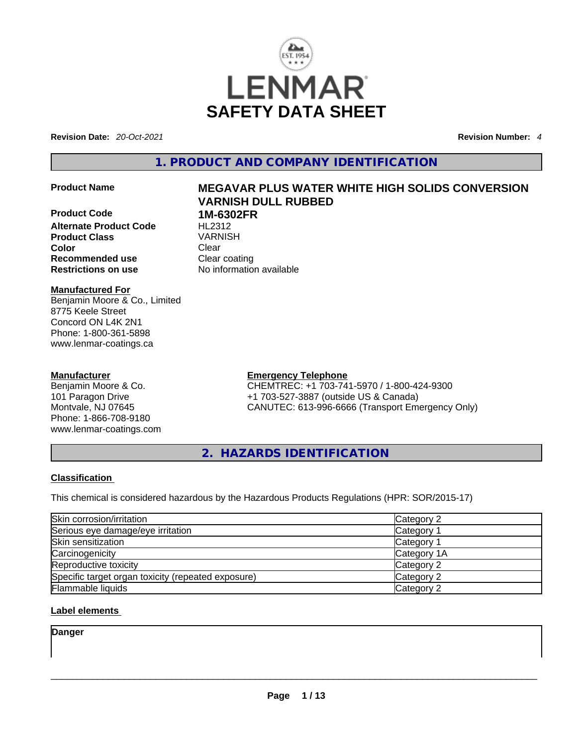

**Revision Date:** *20-Oct-2021* **Revision Number:** *4*

# **1. PRODUCT AND COMPANY IDENTIFICATION**

**Product Code 1M-6302FR Alternate Product Code** HL2312 **Product Class** VARNISH **Color Clear Clear Recommended use Clear coating<br>
<b>Restrictions on use** 
No information

#### **Manufactured For** Benjamin Moore & Co., Limited 8775 Keele Street Concord ON L4K 2N1

Phone: 1-800-361-5898 www.lenmar-coatings.ca

# **Manufacturer**

Benjamin Moore & Co. 101 Paragon Drive Montvale, NJ 07645 Phone: 1-866-708-9180 www.lenmar-coatings.com

# **Product Name MEGAVAR PLUS WATER WHITE HIGH SOLIDS CONVERSION VARNISH DULL RUBBED**

**Restrictions on use** No information available

**Emergency Telephone** CHEMTREC: +1 703-741-5970 / 1-800-424-9300 +1 703-527-3887 (outside US & Canada) CANUTEC: 613-996-6666 (Transport Emergency Only)

**2. HAZARDS IDENTIFICATION** 

### **Classification**

This chemical is considered hazardous by the Hazardous Products Regulations (HPR: SOR/2015-17)

| Skin corrosion/irritation                          | Category 2  |
|----------------------------------------------------|-------------|
| Serious eye damage/eye irritation                  | Category 1  |
| Skin sensitization                                 | Category 1  |
| Carcinogenicity                                    | Category 1A |
| Reproductive toxicity                              | Category 2  |
| Specific target organ toxicity (repeated exposure) | Category 2  |
| <b>Flammable liquids</b>                           | Category 2  |

# **Label elements**

**Danger**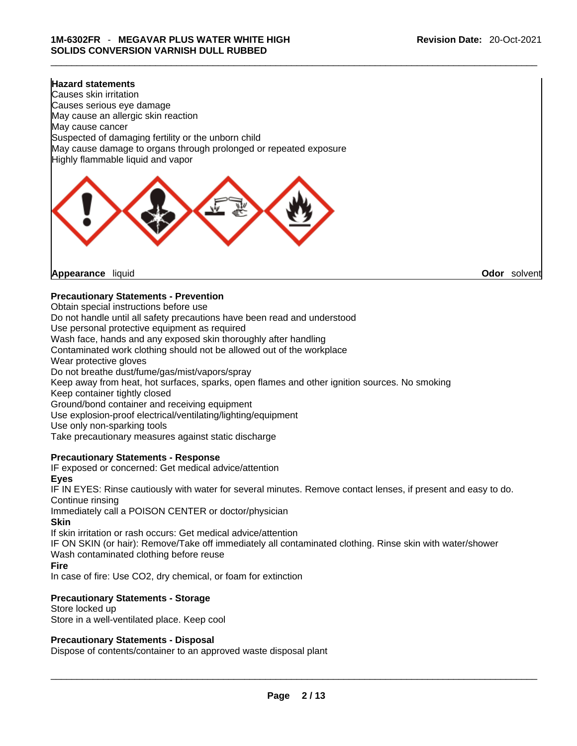#### **Hazard statements**

Causes skin irritation Causes serious eye damage May cause an allergic skin reaction May cause cancer Suspected of damaging fertility or the unborn child May cause damage to organs through prolonged or repeated exposure Highly flammable liquid and vapor



**Appearance** liquid **Odor** *Solvent* **Appearance** liquid **Odor Odor Odor Odor Odor Odor Odor Odor Odor Odor Odor Odor Odor Odor Odor Odor Odor Odor Odor Odor Odor Odor Odor Odor** 

### **Precautionary Statements - Prevention**

Obtain special instructions before use

Do not handle until all safety precautions have been read and understood

Use personal protective equipment as required

Wash face, hands and any exposed skin thoroughly after handling

Contaminated work clothing should not be allowed out of the workplace

Wear protective gloves

Do not breathe dust/fume/gas/mist/vapors/spray

Keep away from heat, hot surfaces, sparks, open flames and other ignition sources. No smoking

Keep container tightly closed

Ground/bond container and receiving equipment

Use explosion-proof electrical/ventilating/lighting/equipment

Use only non-sparking tools

Take precautionary measures against static discharge

#### **Precautionary Statements - Response**

IF exposed or concerned: Get medical advice/attention

#### **Eyes**

IF IN EYES: Rinse cautiously with water forseveral minutes. Remove contact lenses, if present and easy to do. Continue rinsing

Immediately call a POISON CENTER or doctor/physician

#### **Skin**

If skin irritation or rash occurs: Get medical advice/attention

IF ON SKIN (or hair): Remove/Take off immediately all contaminated clothing. Rinse skin with water/shower Wash contaminated clothing before reuse

#### **Fire**

In case of fire: Use CO2, dry chemical, or foam for extinction

### **Precautionary Statements - Storage**

Store locked up Store in a well-ventilated place. Keep cool

#### **Precautionary Statements - Disposal**

Dispose of contents/container to an approved waste disposal plant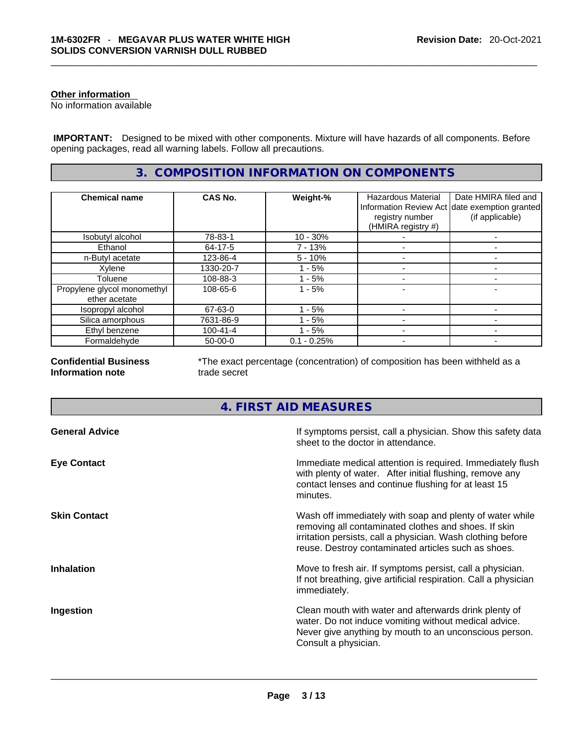#### **Other information**

No information available

 **IMPORTANT:** Designed to be mixed with other components. Mixture will have hazards of all components. Before opening packages, read all warning labels. Follow all precautions.

# **3. COMPOSITION INFORMATION ON COMPONENTS**

| <b>Chemical name</b>                         | <b>CAS No.</b> | Weight-%      | <b>Hazardous Material</b><br>registry number<br>(HMIRA registry #) | Date HMIRA filed and<br>Information Review Act date exemption granted<br>(if applicable) |
|----------------------------------------------|----------------|---------------|--------------------------------------------------------------------|------------------------------------------------------------------------------------------|
| Isobutyl alcohol                             | 78-83-1        | $10 - 30%$    |                                                                    |                                                                                          |
| Ethanol                                      | 64-17-5        | 7 - 13%       |                                                                    |                                                                                          |
| n-Butyl acetate                              | 123-86-4       | $5 - 10%$     |                                                                    |                                                                                          |
| Xylene                                       | 1330-20-7      | - 5%          |                                                                    |                                                                                          |
| Toluene                                      | 108-88-3       | - 5%          |                                                                    |                                                                                          |
| Propylene glycol monomethyl<br>ether acetate | 108-65-6       | $1 - 5%$      |                                                                    |                                                                                          |
| Isopropyl alcohol                            | 67-63-0        | - 5%          |                                                                    |                                                                                          |
| Silica amorphous                             | 7631-86-9      | $-5%$         |                                                                    |                                                                                          |
| Ethyl benzene                                | $100 - 41 - 4$ | - 5%          |                                                                    |                                                                                          |
| Formaldehyde                                 | $50-00-0$      | $0.1 - 0.25%$ |                                                                    |                                                                                          |

**Confidential Business Information note**

\*The exact percentage (concentration) of composition has been withheld as a trade secret

# **4. FIRST AID MEASURES**

| <b>General Advice</b> | If symptoms persist, call a physician. Show this safety data<br>sheet to the doctor in attendance.                                                                                                                                     |
|-----------------------|----------------------------------------------------------------------------------------------------------------------------------------------------------------------------------------------------------------------------------------|
| <b>Eye Contact</b>    | Immediate medical attention is required. Immediately flush<br>with plenty of water. After initial flushing, remove any<br>contact lenses and continue flushing for at least 15<br>minutes.                                             |
| <b>Skin Contact</b>   | Wash off immediately with soap and plenty of water while<br>removing all contaminated clothes and shoes. If skin<br>irritation persists, call a physician. Wash clothing before<br>reuse. Destroy contaminated articles such as shoes. |
| <b>Inhalation</b>     | Move to fresh air. If symptoms persist, call a physician.<br>If not breathing, give artificial respiration. Call a physician<br>immediately.                                                                                           |
| Ingestion             | Clean mouth with water and afterwards drink plenty of<br>water. Do not induce vomiting without medical advice.<br>Never give anything by mouth to an unconscious person.<br>Consult a physician.                                       |
|                       |                                                                                                                                                                                                                                        |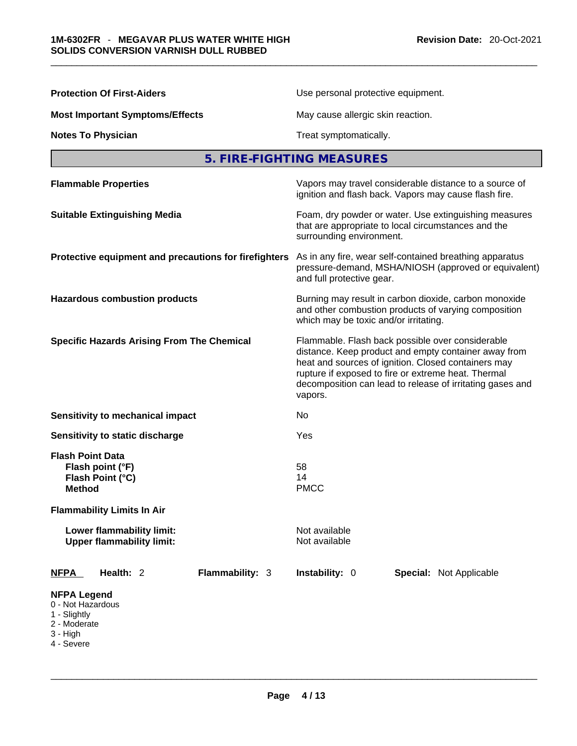| <b>Protection Of First-Aiders</b>                                                                                     | Use personal protective equipment.                                                                                                                                                                                                                                                             |  |  |
|-----------------------------------------------------------------------------------------------------------------------|------------------------------------------------------------------------------------------------------------------------------------------------------------------------------------------------------------------------------------------------------------------------------------------------|--|--|
| <b>Most Important Symptoms/Effects</b>                                                                                | May cause allergic skin reaction.                                                                                                                                                                                                                                                              |  |  |
| <b>Notes To Physician</b>                                                                                             | Treat symptomatically.                                                                                                                                                                                                                                                                         |  |  |
|                                                                                                                       | 5. FIRE-FIGHTING MEASURES                                                                                                                                                                                                                                                                      |  |  |
| <b>Flammable Properties</b>                                                                                           | Vapors may travel considerable distance to a source of<br>ignition and flash back. Vapors may cause flash fire.                                                                                                                                                                                |  |  |
| <b>Suitable Extinguishing Media</b>                                                                                   | Foam, dry powder or water. Use extinguishing measures<br>that are appropriate to local circumstances and the<br>surrounding environment.                                                                                                                                                       |  |  |
| Protective equipment and precautions for firefighters                                                                 | As in any fire, wear self-contained breathing apparatus<br>pressure-demand, MSHA/NIOSH (approved or equivalent)<br>and full protective gear.                                                                                                                                                   |  |  |
| <b>Hazardous combustion products</b>                                                                                  | Burning may result in carbon dioxide, carbon monoxide<br>and other combustion products of varying composition<br>which may be toxic and/or irritating.                                                                                                                                         |  |  |
| <b>Specific Hazards Arising From The Chemical</b>                                                                     | Flammable. Flash back possible over considerable<br>distance. Keep product and empty container away from<br>heat and sources of ignition. Closed containers may<br>rupture if exposed to fire or extreme heat. Thermal<br>decomposition can lead to release of irritating gases and<br>vapors. |  |  |
| Sensitivity to mechanical impact                                                                                      | No                                                                                                                                                                                                                                                                                             |  |  |
| Sensitivity to static discharge                                                                                       | Yes                                                                                                                                                                                                                                                                                            |  |  |
| <b>Flash Point Data</b><br>Flash point (°F)<br>Flash Point (°C)<br><b>Method</b><br><b>Flammability Limits In Air</b> | 58<br>14<br><b>PMCC</b>                                                                                                                                                                                                                                                                        |  |  |
| Lower flammability limit:<br><b>Upper flammability limit:</b>                                                         | Not available<br>Not available                                                                                                                                                                                                                                                                 |  |  |
| Flammability: 3<br><b>NFPA</b><br>Health: 2                                                                           | Instability: 0<br>Special: Not Applicable                                                                                                                                                                                                                                                      |  |  |
| <b>NFPA Legend</b><br>0 - Not Hazardous<br>1 - Slightly<br>2 - Moderate<br>$3 - High$<br>4 - Severe                   |                                                                                                                                                                                                                                                                                                |  |  |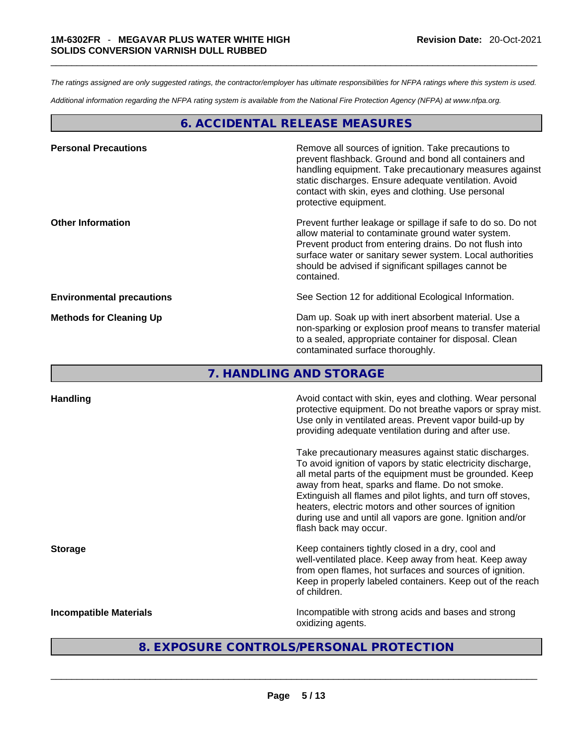*The ratings assigned are only suggested ratings, the contractor/employer has ultimate responsibilities for NFPA ratings where this system is used.* 

*Additional information regarding the NFPA rating system is available from the National Fire Protection Agency (NFPA) at www.nfpa.org.* 

# **6. ACCIDENTAL RELEASE MEASURES**

| <b>Personal Precautions</b>      | Remove all sources of ignition. Take precautions to<br>prevent flashback. Ground and bond all containers and<br>handling equipment. Take precautionary measures against<br>static discharges. Ensure adequate ventilation. Avoid<br>contact with skin, eyes and clothing. Use personal<br>protective equipment.  |
|----------------------------------|------------------------------------------------------------------------------------------------------------------------------------------------------------------------------------------------------------------------------------------------------------------------------------------------------------------|
| <b>Other Information</b>         | Prevent further leakage or spillage if safe to do so. Do not<br>allow material to contaminate ground water system.<br>Prevent product from entering drains. Do not flush into<br>surface water or sanitary sewer system. Local authorities<br>should be advised if significant spillages cannot be<br>contained. |
| <b>Environmental precautions</b> | See Section 12 for additional Ecological Information.                                                                                                                                                                                                                                                            |
| <b>Methods for Cleaning Up</b>   | Dam up. Soak up with inert absorbent material. Use a<br>non-sparking or explosion proof means to transfer material<br>to a sealed, appropriate container for disposal. Clean<br>contaminated surface thoroughly.                                                                                                 |

**7. HANDLING AND STORAGE** 

| <b>Handling</b>               | Avoid contact with skin, eyes and clothing. Wear personal<br>protective equipment. Do not breathe vapors or spray mist.<br>Use only in ventilated areas. Prevent vapor build-up by<br>providing adequate ventilation during and after use.                                                                                                                                                                                                           |
|-------------------------------|------------------------------------------------------------------------------------------------------------------------------------------------------------------------------------------------------------------------------------------------------------------------------------------------------------------------------------------------------------------------------------------------------------------------------------------------------|
|                               | Take precautionary measures against static discharges.<br>To avoid ignition of vapors by static electricity discharge,<br>all metal parts of the equipment must be grounded. Keep<br>away from heat, sparks and flame. Do not smoke.<br>Extinguish all flames and pilot lights, and turn off stoves,<br>heaters, electric motors and other sources of ignition<br>during use and until all vapors are gone. Ignition and/or<br>flash back may occur. |
| <b>Storage</b>                | Keep containers tightly closed in a dry, cool and<br>well-ventilated place. Keep away from heat. Keep away<br>from open flames, hot surfaces and sources of ignition.<br>Keep in properly labeled containers. Keep out of the reach<br>of children.                                                                                                                                                                                                  |
| <b>Incompatible Materials</b> | Incompatible with strong acids and bases and strong<br>oxidizing agents.                                                                                                                                                                                                                                                                                                                                                                             |
|                               | 8. EXPOSURE CONTROLS/PERSONAL PROTECTION                                                                                                                                                                                                                                                                                                                                                                                                             |
|                               |                                                                                                                                                                                                                                                                                                                                                                                                                                                      |

# **8. EXPOSURE CONTROLS/PERSONAL PROTECTION**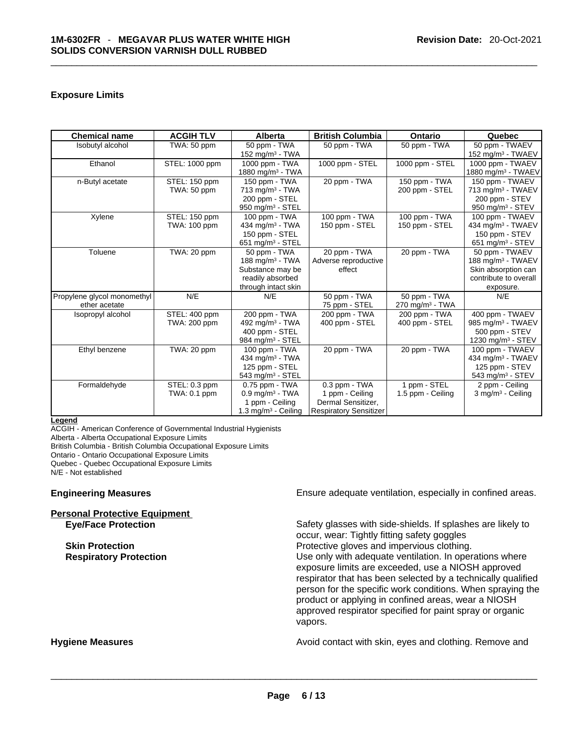#### **Exposure Limits**

| <b>Chemical name</b>        | <b>ACGIH TLV</b>                 | Alberta                         | <b>British Columbia</b>       | <b>Ontario</b>              | Quebec                         |
|-----------------------------|----------------------------------|---------------------------------|-------------------------------|-----------------------------|--------------------------------|
| Isobutyl alcohol            | $\overline{\text{TW}}$ A: 50 ppm | 50 ppm - TWA                    | 50 ppm - TWA                  | 50 ppm - TWA                | 50 ppm - TWAEV                 |
|                             |                                  | 152 mg/m $3$ - TWA              |                               |                             | 152 mg/m $3$ - TWAEV           |
| Ethanol                     | STEL: 1000 ppm                   | 1000 ppm - TWA                  | 1000 ppm - STEL               | 1000 ppm - STEL             | 1000 ppm - TWAEV               |
|                             |                                  | 1880 mg/m <sup>3</sup> - TWA    |                               |                             | 1880 mg/m <sup>3</sup> - TWAEV |
| n-Butyl acetate             | STEL: 150 ppm                    | 150 ppm - TWA                   | 20 ppm - TWA                  | 150 ppm - TWA               | 150 ppm - TWAEV                |
|                             | TWA: 50 ppm                      | 713 mg/m <sup>3</sup> - TWA     |                               | 200 ppm - STEL              | 713 mg/m <sup>3</sup> - TWAEV  |
|                             |                                  | 200 ppm - STEL                  |                               |                             | 200 ppm - STEV                 |
|                             |                                  | 950 mg/m <sup>3</sup> - STEL    |                               |                             | 950 mg/m $3 -$ STEV            |
| Xylene                      | STEL: 150 ppm                    | 100 ppm - TWA                   | 100 ppm - TWA                 | 100 ppm - TWA               | 100 ppm - TWAEV                |
|                             | TWA: 100 ppm                     | 434 mg/m $3$ - TWA              | 150 ppm - STEL                | 150 ppm - STEL              | 434 mg/m <sup>3</sup> - TWAEV  |
|                             |                                  | 150 ppm - STEL                  |                               |                             | 150 ppm - STEV                 |
|                             |                                  | 651 mg/m $3 -$ STEL             |                               |                             | 651 mg/m <sup>3</sup> - STEV   |
| Toluene                     | TWA: 20 ppm                      | 50 ppm - TWA                    | 20 ppm - TWA                  | 20 ppm - TWA                | 50 ppm - TWAEV                 |
|                             |                                  | 188 mg/m <sup>3</sup> - TWA     | Adverse reproductive          |                             | 188 mg/m <sup>3</sup> - TWAEV  |
|                             |                                  | Substance may be                | effect                        |                             | Skin absorption can            |
|                             |                                  | readily absorbed                |                               |                             | contribute to overall          |
|                             |                                  | through intact skin             |                               |                             | exposure.                      |
| Propylene glycol monomethyl | N/E                              | N/E                             | 50 ppm - TWA                  | 50 ppm - TWA                | N/E                            |
| ether acetate               |                                  |                                 | 75 ppm - STEL                 | 270 mg/m <sup>3</sup> - TWA |                                |
| Isopropyl alcohol           | STEL: 400 ppm                    | 200 ppm - TWA                   | 200 ppm - TWA                 | 200 ppm - TWA               | 400 ppm - TWAEV                |
|                             | <b>TWA: 200 ppm</b>              | 492 mg/m $3$ - TWA              | 400 ppm - STEL                | 400 ppm - STEL              | 985 mg/m <sup>3</sup> - TWAEV  |
|                             |                                  | 400 ppm - STEL                  |                               |                             | 500 ppm - STEV                 |
|                             |                                  | 984 mg/m <sup>3</sup> - STEL    |                               |                             | 1230 mg/m <sup>3</sup> - STEV  |
| Ethyl benzene               | TWA: 20 ppm                      | 100 ppm - TWA                   | 20 ppm - TWA                  | 20 ppm - TWA                | 100 ppm - TWAEV                |
|                             |                                  | 434 mg/m $3$ - TWA              |                               |                             | 434 mg/m <sup>3</sup> - TWAEV  |
|                             |                                  | 125 ppm - STEL                  |                               |                             | 125 ppm - STEV                 |
|                             |                                  | 543 mg/m <sup>3</sup> - STEL    |                               |                             | 543 mg/m <sup>3</sup> - STEV   |
| Formaldehyde                | STEL: 0.3 ppm                    | $0.75$ ppm $-$ TWA              | $0.3$ ppm - TWA               | 1 ppm - STEL                | 2 ppm - Ceiling                |
|                             | TWA: 0.1 ppm                     | $0.9$ mg/m <sup>3</sup> - TWA   | 1 ppm - Ceiling               | 1.5 ppm - Ceiling           | 3 mg/m <sup>3</sup> - Ceiling  |
|                             |                                  | 1 ppm - Ceiling                 | Dermal Sensitizer,            |                             |                                |
|                             |                                  | 1.3 mg/m <sup>3</sup> - Ceiling | <b>Respiratory Sensitizer</b> |                             |                                |

#### **Legend**

ACGIH - American Conference of Governmental Industrial Hygienists

Alberta - Alberta Occupational Exposure Limits

British Columbia - British Columbia Occupational Exposure Limits

Ontario - Ontario Occupational Exposure Limits

Quebec - Quebec Occupational Exposure Limits

N/E - Not established

# **Personal Protective Equipment**

**Engineering Measures Ensure 2018** Ensure adequate ventilation, especially in confined areas.

**Eye/Face Protection** Safety glasses with side-shields. If splashes are likely to occur, wear: Tightly fitting safety goggles **Skin Protection Protection Protective gloves and impervious clothing. Respiratory Protection Number 2012** Use only with adequate ventilation. In operations where exposure limits are exceeded, use a NIOSH approved respirator that has been selected by a technically qualified person for the specific work conditions. When spraying the product or applying in confined areas, wear a NIOSH approved respirator specified for paint spray or organic vapors.

**Hygiene Measures Avoid contact with skin, eyes and clothing. Remove and Hygiene Measures** and clothing. Remove and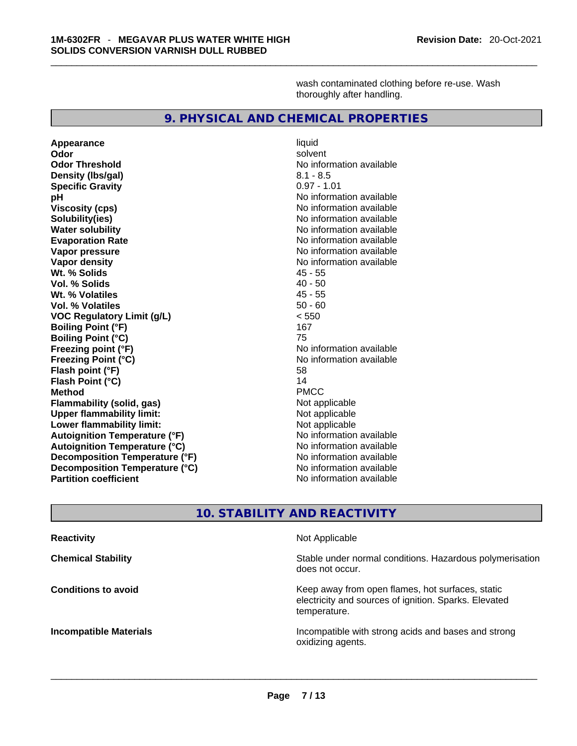wash contaminated clothing before re-use. Wash thoroughly after handling.

# **9. PHYSICAL AND CHEMICAL PROPERTIES**

**Appearance** liquid **Odor Solvent Solvent Solvent Solvent Odor Threshold No information available** No information available **Density (Ibs/gal)** 8.1 - 8.5<br> **Specific Gravity** 8.1 - 8.5 **Specific Gravity pH**<br>
Viscosity (cps) <br>
Viscosity (cps) <br>
Viscosity (cps) <br>
Viscosity (cps) <br>
Viscosity (cps) <br>
Viscosity (cps) <br>
Viscosity (cps) <br>
Viscosity (cps) <br>
Viscosity (cps) <br>
Viscosity (cps) <br>
Viscosity (cps) <br>
Viscosity (cps) <br> **Solubility(ies)**<br> **No information available**<br> **Water solubility**<br> **Water solubility Evaporation Rate No information available No information available Vapor pressure**  No information available **No information** available **Vapor density No information available No information available Wt. % Solids** 45 - 55 **Vol. % Solids** 40 - 50 **Wt. % Volatiles Vol. % Volatiles** 50 - 60 **VOC Regulatory Limit (g/L)** < 550 **Boiling Point (°F) Boiling Point (°C)** 75 **Freezing point (°F)** and the state of the No information available **Freezing Point (°C)** No information available **Flash point (°F)** 58 **Flash Point (°C)** 14 **Method** PMCC **Flammability (solid, gas)** Not applicable **Upper flammability limit:**<br> **Lower flammability limit:** Not applicable Not applicable **Lower flammability limit:**<br> **Autoignition Temperature (°F)** Not applicable havailable available **Autoignition Temperature (°F)**<br> **Autoignition Temperature (°C)** No information available **Autoignition Temperature (°C)**<br> **Decomposition Temperature (°F)** No information available **Decomposition Temperature (°F) Decomposition Temperature (°C)** No information available **Partition coefficient** No information available

**Viscosity (cps)** No information available **No information available** 

# **10. STABILITY AND REACTIVITY**

| <b>Reactivity</b>             | Not Applicable                                                                                                            |
|-------------------------------|---------------------------------------------------------------------------------------------------------------------------|
| <b>Chemical Stability</b>     | Stable under normal conditions. Hazardous polymerisation<br>does not occur.                                               |
| <b>Conditions to avoid</b>    | Keep away from open flames, hot surfaces, static<br>electricity and sources of ignition. Sparks. Elevated<br>temperature. |
| <b>Incompatible Materials</b> | Incompatible with strong acids and bases and strong<br>oxidizing agents.                                                  |
|                               |                                                                                                                           |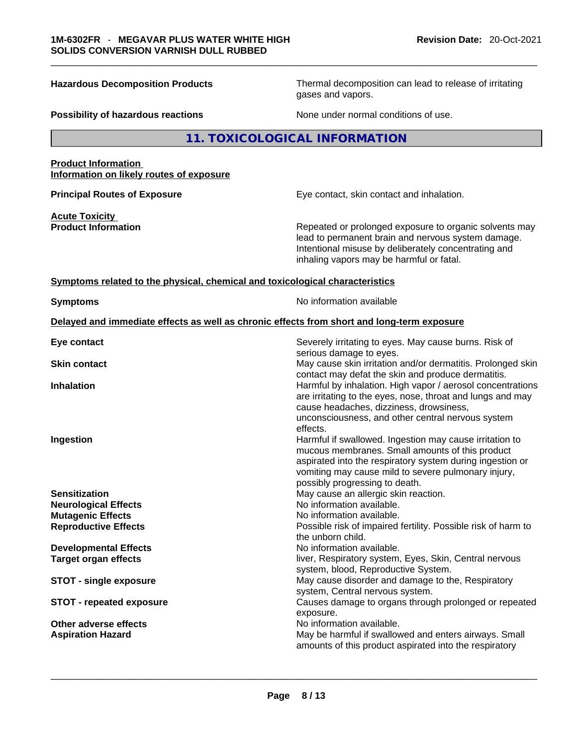**Hazardous Decomposition Products** Thermal decomposition can lead to release of irritating gases and vapors.

**Possibility of hazardous reactions** None under normal conditions of use.

### **11. TOXICOLOGICAL INFORMATION**

#### **Product Information Information on likely routes of exposure**

**Principal Routes of Exposure Exposure** Eye contact, skin contact and inhalation.

**Acute Toxicity** 

**Product Information Repeated or prolonged exposure to organic solvents may** Repeated or prolonged exposure to organic solvents may lead to permanent brain and nervous system damage. Intentional misuse by deliberately concentrating and inhaling vapors may be harmful or fatal.

#### **<u>Symptoms related to the physical, chemical and toxicological characteristics</u>**

**Symptoms Symptoms No information available** 

#### **Delayed and immediate effects as well as chronic effects from short and long-term exposure**

| Eye contact                     | Severely irritating to eyes. May cause burns. Risk of<br>serious damage to eyes.                                                                                                                                                                                 |
|---------------------------------|------------------------------------------------------------------------------------------------------------------------------------------------------------------------------------------------------------------------------------------------------------------|
| <b>Skin contact</b>             | May cause skin irritation and/or dermatitis. Prolonged skin<br>contact may defat the skin and produce dermatitis.                                                                                                                                                |
| <b>Inhalation</b>               | Harmful by inhalation. High vapor / aerosol concentrations<br>are irritating to the eyes, nose, throat and lungs and may<br>cause headaches, dizziness, drowsiness,<br>unconsciousness, and other central nervous system<br>effects.                             |
| Ingestion                       | Harmful if swallowed. Ingestion may cause irritation to<br>mucous membranes. Small amounts of this product<br>aspirated into the respiratory system during ingestion or<br>vomiting may cause mild to severe pulmonary injury,<br>possibly progressing to death. |
| <b>Sensitization</b>            | May cause an allergic skin reaction.                                                                                                                                                                                                                             |
| <b>Neurological Effects</b>     | No information available.                                                                                                                                                                                                                                        |
| <b>Mutagenic Effects</b>        | No information available.                                                                                                                                                                                                                                        |
| <b>Reproductive Effects</b>     | Possible risk of impaired fertility. Possible risk of harm to<br>the unborn child.                                                                                                                                                                               |
| <b>Developmental Effects</b>    | No information available.                                                                                                                                                                                                                                        |
| <b>Target organ effects</b>     | liver, Respiratory system, Eyes, Skin, Central nervous<br>system, blood, Reproductive System.                                                                                                                                                                    |
| <b>STOT - single exposure</b>   | May cause disorder and damage to the, Respiratory<br>system, Central nervous system.                                                                                                                                                                             |
| <b>STOT - repeated exposure</b> | Causes damage to organs through prolonged or repeated<br>exposure.                                                                                                                                                                                               |
| Other adverse effects           | No information available.                                                                                                                                                                                                                                        |
| <b>Aspiration Hazard</b>        | May be harmful if swallowed and enters airways. Small<br>amounts of this product aspirated into the respiratory                                                                                                                                                  |
|                                 |                                                                                                                                                                                                                                                                  |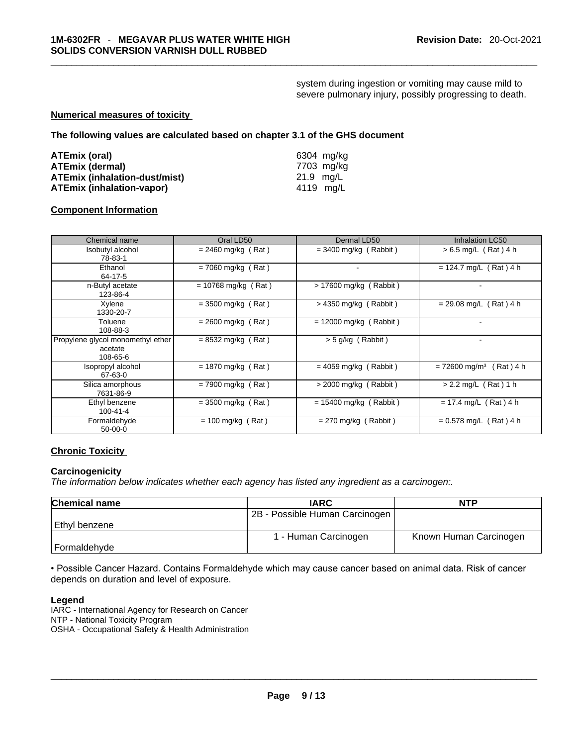system during ingestion or vomiting may cause mild to severe pulmonary injury, possibly progressing to death.

#### **Numerical measures of toxicity**

**The following values are calculated based on chapter 3.1 of the GHS document**

| ATEmix (oral)                        | 6304 mg/kg |
|--------------------------------------|------------|
| <b>ATEmix (dermal)</b>               | 7703 ma/ka |
| <b>ATEmix (inhalation-dust/mist)</b> | 21.9 ma/L  |
| <b>ATEmix (inhalation-vapor)</b>     | 4119 ma/L  |

#### **Component Information**

| Chemical name                                            | Oral LD50             | Dermal LD50              | <b>Inhalation LC50</b>                  |
|----------------------------------------------------------|-----------------------|--------------------------|-----------------------------------------|
| Isobutyl alcohol<br>78-83-1                              | $= 2460$ mg/kg (Rat)  | $=$ 3400 mg/kg (Rabbit)  | $> 6.5$ mg/L (Rat) 4 h                  |
| Ethanol<br>64-17-5                                       | $= 7060$ mg/kg (Rat)  | ۰                        | $= 124.7$ mg/L (Rat) 4 h                |
| n-Butyl acetate<br>123-86-4                              | $= 10768$ mg/kg (Rat) | > 17600 mg/kg (Rabbit)   |                                         |
| Xylene<br>1330-20-7                                      | $= 3500$ mg/kg (Rat)  | $>$ 4350 mg/kg (Rabbit)  | $= 29.08$ mg/L (Rat) 4 h                |
| Toluene<br>108-88-3                                      | $= 2600$ mg/kg (Rat)  | $= 12000$ mg/kg (Rabbit) |                                         |
| Propylene glycol monomethyl ether<br>acetate<br>108-65-6 | $= 8532$ mg/kg (Rat)  | $>$ 5 g/kg (Rabbit)      |                                         |
| Isopropyl alcohol<br>67-63-0                             | $= 1870$ mg/kg (Rat)  | $= 4059$ mg/kg (Rabbit)  | $= 72600$ mg/m <sup>3</sup><br>(Rat)4 h |
| Silica amorphous<br>7631-86-9                            | $= 7900$ mg/kg (Rat)  | $>$ 2000 mg/kg (Rabbit)  | $> 2.2$ mg/L (Rat) 1 h                  |
| Ethyl benzene<br>100-41-4                                | $=$ 3500 mg/kg (Rat)  | $= 15400$ mg/kg (Rabbit) | $= 17.4$ mg/L (Rat) 4 h                 |
| Formaldehyde<br>$50-00-0$                                | $= 100$ mg/kg (Rat)   | $= 270$ mg/kg (Rabbit)   | $= 0.578$ mg/L (Rat) 4 h                |

#### **Chronic Toxicity**

#### **Carcinogenicity**

*The information below indicates whether each agency has listed any ingredient as a carcinogen:.* 

| <b>Chemical name</b> | <b>IARC</b>                    | <b>NTP</b>             |
|----------------------|--------------------------------|------------------------|
|                      | 2B - Possible Human Carcinogen |                        |
| Ethyl benzene        |                                |                        |
|                      | 1 - Human Carcinogen           | Known Human Carcinogen |
| Formaldehyde         |                                |                        |

• Possible Cancer Hazard. Contains Formaldehyde which may cause cancer based on animal data. Risk of cancer depends on duration and level of exposure.

#### **Legend**

IARC - International Agency for Research on Cancer NTP - National Toxicity Program OSHA - Occupational Safety & Health Administration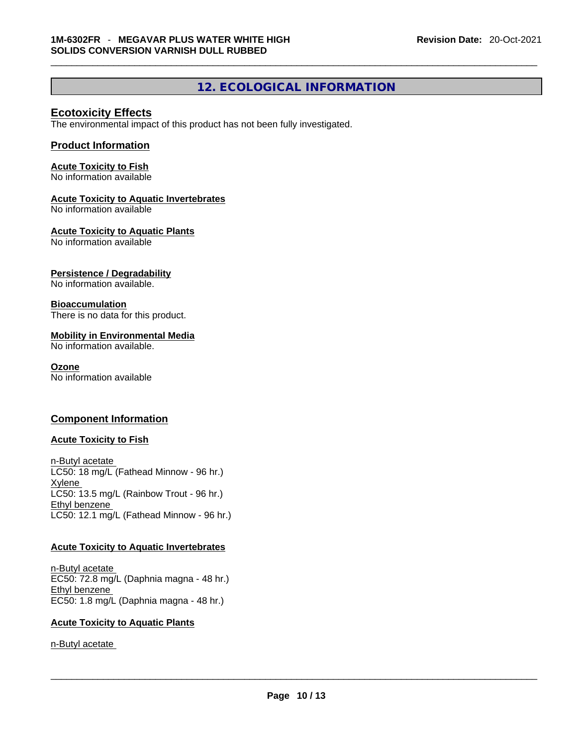# **12. ECOLOGICAL INFORMATION**

# **Ecotoxicity Effects**

The environmental impact of this product has not been fully investigated.

# **Product Information**

#### **Acute Toxicity to Fish**

No information available

#### **Acute Toxicity to Aquatic Invertebrates**

No information available

#### **Acute Toxicity to Aquatic Plants**

No information available

### **Persistence / Degradability**

No information available.

#### **Bioaccumulation**

There is no data for this product.

#### **Mobility in Environmental Media**

No information available.

#### **Ozone**

No information available

### **Component Information**

#### **Acute Toxicity to Fish**

n-Butyl acetate LC50: 18 mg/L (Fathead Minnow - 96 hr.) **Xylene** LC50: 13.5 mg/L (Rainbow Trout - 96 hr.) Ethyl benzene LC50: 12.1 mg/L (Fathead Minnow - 96 hr.)

#### **Acute Toxicity to Aquatic Invertebrates**

n-Butyl acetate EC50: 72.8 mg/L (Daphnia magna - 48 hr.) Ethyl benzene EC50: 1.8 mg/L (Daphnia magna - 48 hr.)

#### **Acute Toxicity to Aquatic Plants**

n-Butyl acetate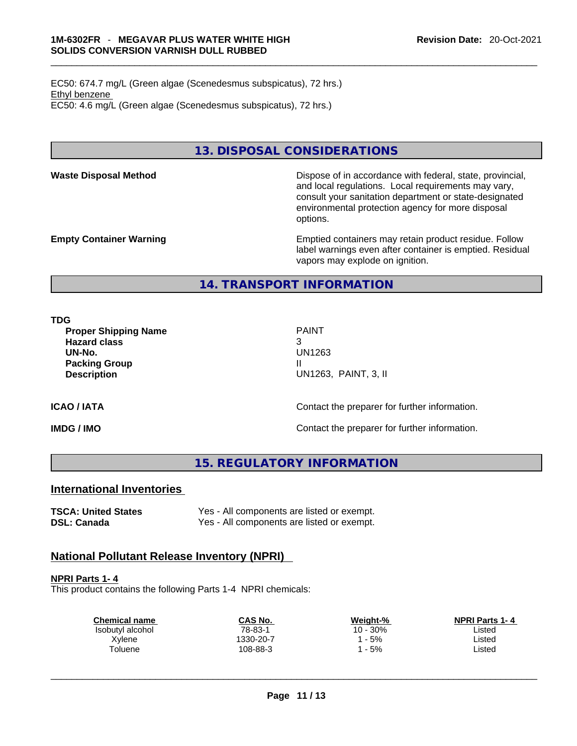EC50: 674.7 mg/L (Green algae (Scenedesmus subspicatus), 72 hrs.) Ethyl benzene EC50: 4.6 mg/L (Green algae (Scenedesmus subspicatus), 72 hrs.)

**13. DISPOSAL CONSIDERATIONS** 

**Waste Disposal Method** Dispose of in accordance with federal, state, provincial, and local regulations. Local requirements may vary, consult your sanitation department or state-designated environmental protection agency for more disposal options.

**Empty Container Warning <b>Emptied** Containers may retain product residue. Follow label warnings even after container is emptied. Residual vapors may explode on ignition.

# **14. TRANSPORT INFORMATION**

**TDG** 

**Proper Shipping Name** PAINT **Hazard class** 3 **UN-No.** UN1263 **Packing Group III Description** UN1263, PAINT, 3, II

**ICAO / IATA ICAO / IATA Contact the preparer for further information.** 

**IMDG / IMO Contact the preparer for further information.** 

**15. REGULATORY INFORMATION** 

# **International Inventories**

**TSCA: United States** Yes - All components are listed or exempt. **DSL: Canada** Yes - All components are listed or exempt.

# **National Pollutant Release Inventory (NPRI)**

**NPRI Parts 1- 4**

This product contains the following Parts 1-4 NPRI chemicals:

| <b>Chemical name</b> | CAS No.   | Weight-% | <b>NPRI Parts 1-4</b> |  |
|----------------------|-----------|----------|-----------------------|--|
| Isobutyl alcohol     | 78-83-1   | 10 - 30% | ∟isted                |  |
| Xylene               | 1330-20-7 | $-5%$    | ∟isted                |  |
| Toluene              | 108-88-3  | $-5%$    | Listed                |  |
|                      |           |          |                       |  |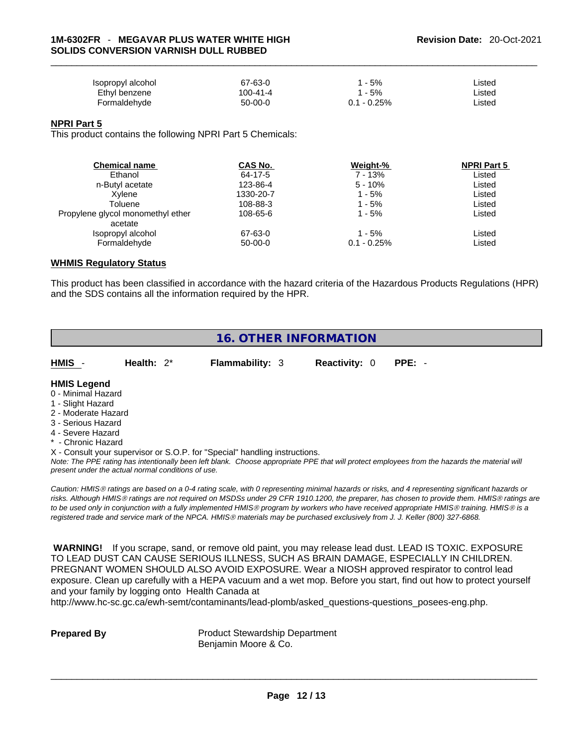| sopropyl alcohol | 67-63-0  | - 5%          | ∟isted |
|------------------|----------|---------------|--------|
| Ethyl benzene    | 100-41-4 | - 5%          | ∟isted |
| Formaldehyde     | 50-00-0  | $0.1 - 0.25%$ | ∟isted |

#### **NPRI Part 5**

This product contains the following NPRI Part 5 Chemicals:

| <b>Chemical name</b>              | CAS No.   | Weight-%      | <b>NPRI Part 5</b> |  |
|-----------------------------------|-----------|---------------|--------------------|--|
| Ethanol                           | 64-17-5   | 7 - 13%       | Listed             |  |
| n-Butyl acetate                   | 123-86-4  | 5 - 10%       | Listed             |  |
| Xvlene                            | 1330-20-7 | 1 - 5%        | Listed             |  |
| Toluene                           | 108-88-3  | 1 - 5%        | Listed             |  |
| Propylene glycol monomethyl ether | 108-65-6  | 1 - 5%        | Listed             |  |
| acetate                           |           |               |                    |  |
| Isopropyl alcohol                 | 67-63-0   | 1 - 5%        | Listed             |  |
| Formaldehyde                      | $50-00-0$ | $0.1 - 0.25%$ | Listed             |  |
|                                   |           |               |                    |  |

#### **WHMIS Regulatory Status**

This product has been classified in accordance with the hazard criteria of the Hazardous Products Regulations (HPR) and the SDS contains all the information required by the HPR.

# **16. OTHER INFORMATION**

| <b>HMIS</b>                                                   | Health: $2^*$ | <b>Flammability: 3</b> | <b>Reactivity: 0</b> | $PPE: -$ |
|---------------------------------------------------------------|---------------|------------------------|----------------------|----------|
| <b>HMIS Legend</b><br>0 - Minimal Hazard<br>1 - Slight Hazard |               |                        |                      |          |

- 2 Moderate Hazard
- 3 Serious Hazard
- 4 Severe Hazard
- \* Chronic Hazard

X - Consult your supervisor or S.O.P. for "Special" handling instructions.

Note: The PPE rating has intentionally been left blank. Choose appropriate PPE that will protect employees from the hazards the material will *present under the actual normal conditions of use.* 

*Caution: HMISÒ ratings are based on a 0-4 rating scale, with 0 representing minimal hazards or risks, and 4 representing significant hazards or risks. Although HMISÒ ratings are not required on MSDSs under 29 CFR 1910.1200, the preparer, has chosen to provide them. HMISÒ ratings are to be used only in conjunction with a fully implemented HMISÒ program by workers who have received appropriate HMISÒ training. HMISÒ is a registered trade and service mark of the NPCA. HMISÒ materials may be purchased exclusively from J. J. Keller (800) 327-6868.* 

 **WARNING!** If you scrape, sand, or remove old paint, you may release lead dust. LEAD IS TOXIC. EXPOSURE TO LEAD DUST CAN CAUSE SERIOUS ILLNESS, SUCH AS BRAIN DAMAGE, ESPECIALLY IN CHILDREN. PREGNANT WOMEN SHOULD ALSO AVOID EXPOSURE.Wear a NIOSH approved respirator to control lead exposure. Clean up carefully with a HEPA vacuum and a wet mop. Before you start, find out how to protect yourself and your family by logging onto Health Canada at

http://www.hc-sc.gc.ca/ewh-semt/contaminants/lead-plomb/asked\_questions-questions\_posees-eng.php.

**Prepared By Product Stewardship Department** Benjamin Moore & Co.